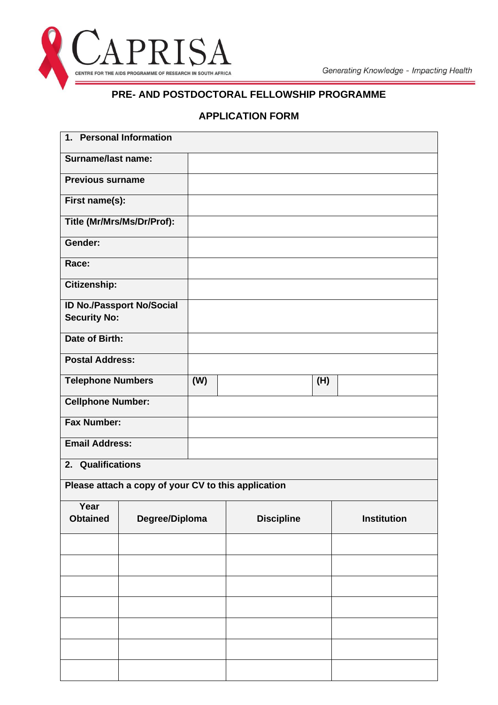

## **PRE- AND POSTDOCTORAL FELLOWSHIP PROGRAMME**

## **APPLICATION FORM**

| 1. Personal Information                                 |                                                     |     |                   |             |
|---------------------------------------------------------|-----------------------------------------------------|-----|-------------------|-------------|
| <b>Surname/last name:</b>                               |                                                     |     |                   |             |
| <b>Previous surname</b>                                 |                                                     |     |                   |             |
| First name(s):                                          |                                                     |     |                   |             |
|                                                         | Title (Mr/Mrs/Ms/Dr/Prof):                          |     |                   |             |
| Gender:                                                 |                                                     |     |                   |             |
| Race:                                                   |                                                     |     |                   |             |
| Citizenship:                                            |                                                     |     |                   |             |
| <b>ID No./Passport No/Social</b><br><b>Security No:</b> |                                                     |     |                   |             |
| <b>Date of Birth:</b>                                   |                                                     |     |                   |             |
| <b>Postal Address:</b>                                  |                                                     |     |                   |             |
| <b>Telephone Numbers</b>                                |                                                     | (W) | (H)               |             |
| <b>Cellphone Number:</b>                                |                                                     |     |                   |             |
| <b>Fax Number:</b>                                      |                                                     |     |                   |             |
| <b>Email Address:</b>                                   |                                                     |     |                   |             |
| 2. Qualifications                                       |                                                     |     |                   |             |
|                                                         | Please attach a copy of your CV to this application |     |                   |             |
| Year<br><b>Obtained</b>                                 | Degree/Diploma                                      |     | <b>Discipline</b> | Institution |
|                                                         |                                                     |     |                   |             |
|                                                         |                                                     |     |                   |             |
|                                                         |                                                     |     |                   |             |
|                                                         |                                                     |     |                   |             |
|                                                         |                                                     |     |                   |             |
|                                                         |                                                     |     |                   |             |
|                                                         |                                                     |     |                   |             |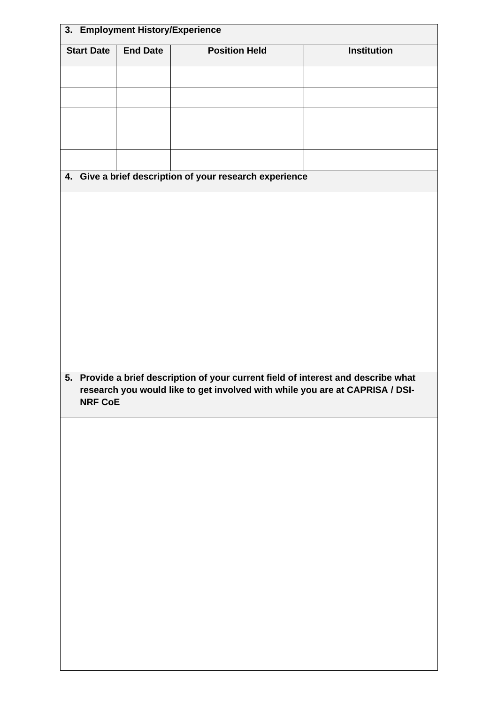|                   | 3. Employment History/Experience |                                                                                    |                    |
|-------------------|----------------------------------|------------------------------------------------------------------------------------|--------------------|
| <b>Start Date</b> | <b>End Date</b>                  | <b>Position Held</b>                                                               | <b>Institution</b> |
|                   |                                  |                                                                                    |                    |
|                   |                                  |                                                                                    |                    |
|                   |                                  |                                                                                    |                    |
|                   |                                  |                                                                                    |                    |
|                   |                                  |                                                                                    |                    |
|                   |                                  | 4. Give a brief description of your research experience                            |                    |
|                   |                                  |                                                                                    |                    |
|                   |                                  |                                                                                    |                    |
|                   |                                  |                                                                                    |                    |
|                   |                                  |                                                                                    |                    |
|                   |                                  |                                                                                    |                    |
|                   |                                  |                                                                                    |                    |
|                   |                                  |                                                                                    |                    |
|                   |                                  |                                                                                    |                    |
|                   |                                  |                                                                                    |                    |
|                   |                                  |                                                                                    |                    |
|                   |                                  | 5. Provide a brief description of your current field of interest and describe what |                    |
|                   |                                  | research you would like to get involved with while you are at CAPRISA / DSI-       |                    |
| <b>NRF CoE</b>    |                                  |                                                                                    |                    |
|                   |                                  |                                                                                    |                    |
|                   |                                  |                                                                                    |                    |
|                   |                                  |                                                                                    |                    |
|                   |                                  |                                                                                    |                    |
|                   |                                  |                                                                                    |                    |
|                   |                                  |                                                                                    |                    |
|                   |                                  |                                                                                    |                    |
|                   |                                  |                                                                                    |                    |
|                   |                                  |                                                                                    |                    |
|                   |                                  |                                                                                    |                    |
|                   |                                  |                                                                                    |                    |
|                   |                                  |                                                                                    |                    |
|                   |                                  |                                                                                    |                    |
|                   |                                  |                                                                                    |                    |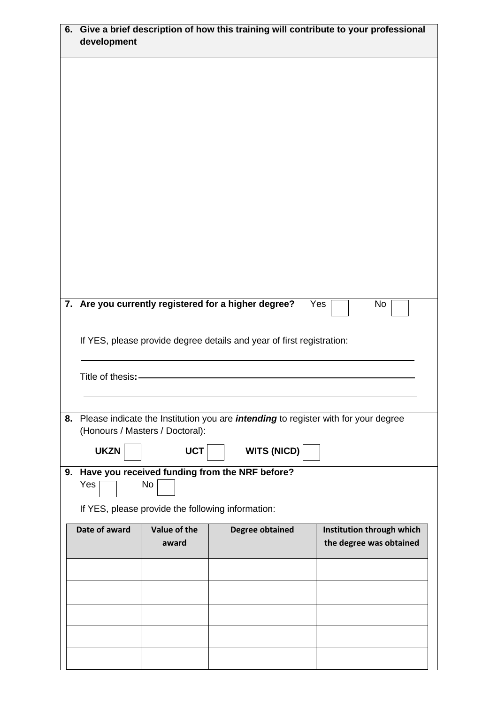| 6. | Give a brief description of how this training will contribute to your professional<br>development |                                                   |                                                                                              |                                                      |
|----|---------------------------------------------------------------------------------------------------|---------------------------------------------------|----------------------------------------------------------------------------------------------|------------------------------------------------------|
|    |                                                                                                   |                                                   |                                                                                              |                                                      |
|    |                                                                                                   |                                                   |                                                                                              |                                                      |
|    |                                                                                                   |                                                   |                                                                                              |                                                      |
|    |                                                                                                   |                                                   |                                                                                              |                                                      |
|    |                                                                                                   |                                                   |                                                                                              |                                                      |
|    |                                                                                                   |                                                   |                                                                                              |                                                      |
|    |                                                                                                   |                                                   |                                                                                              |                                                      |
|    |                                                                                                   |                                                   | 7. Are you currently registered for a higher degree?                                         | Yes<br>No                                            |
|    |                                                                                                   |                                                   | If YES, please provide degree details and year of first registration:                        |                                                      |
|    |                                                                                                   |                                                   |                                                                                              |                                                      |
|    | Title of thesis:-                                                                                 |                                                   |                                                                                              |                                                      |
|    |                                                                                                   | (Honours / Masters / Doctoral):                   | 8. Please indicate the Institution you are <i>intending</i> to register with for your degree |                                                      |
|    | <b>UKZN</b>                                                                                       | <b>UCT</b>                                        | <b>WITS (NICD)</b>                                                                           |                                                      |
| 9. | Yes                                                                                               | No                                                | Have you received funding from the NRF before?                                               |                                                      |
|    |                                                                                                   | If YES, please provide the following information: |                                                                                              |                                                      |
|    | Date of award                                                                                     | Value of the<br>award                             | <b>Degree obtained</b>                                                                       | Institution through which<br>the degree was obtained |
|    |                                                                                                   |                                                   |                                                                                              |                                                      |
|    |                                                                                                   |                                                   |                                                                                              |                                                      |
|    |                                                                                                   |                                                   |                                                                                              |                                                      |
|    |                                                                                                   |                                                   |                                                                                              |                                                      |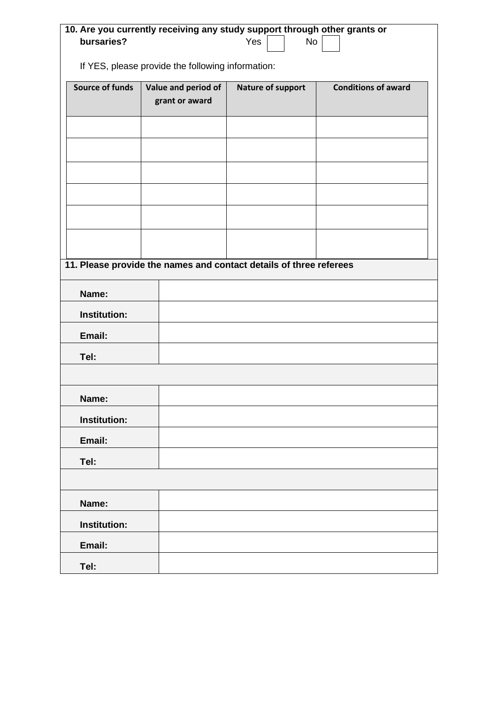| 10. Are you currently receiving any study support through other grants or<br>bursaries?<br>Yes<br><b>No</b> |                                       |                                                                    |                            |
|-------------------------------------------------------------------------------------------------------------|---------------------------------------|--------------------------------------------------------------------|----------------------------|
| If YES, please provide the following information:                                                           |                                       |                                                                    |                            |
| <b>Source of funds</b>                                                                                      | Value and period of<br>grant or award | <b>Nature of support</b>                                           | <b>Conditions of award</b> |
|                                                                                                             |                                       |                                                                    |                            |
|                                                                                                             |                                       |                                                                    |                            |
|                                                                                                             |                                       |                                                                    |                            |
|                                                                                                             |                                       |                                                                    |                            |
|                                                                                                             |                                       |                                                                    |                            |
|                                                                                                             |                                       | 11. Please provide the names and contact details of three referees |                            |
|                                                                                                             |                                       |                                                                    |                            |
| Name:<br><b>Institution:</b>                                                                                |                                       |                                                                    |                            |
| Email:                                                                                                      |                                       |                                                                    |                            |
| Tel:                                                                                                        |                                       |                                                                    |                            |
|                                                                                                             |                                       |                                                                    |                            |
| Name:                                                                                                       |                                       |                                                                    |                            |
| Institution:                                                                                                |                                       |                                                                    |                            |
| Email:                                                                                                      |                                       |                                                                    |                            |
| Tel:                                                                                                        |                                       |                                                                    |                            |
| Name:                                                                                                       |                                       |                                                                    |                            |
| <b>Institution:</b>                                                                                         |                                       |                                                                    |                            |
| Email:                                                                                                      |                                       |                                                                    |                            |
| Tel:                                                                                                        |                                       |                                                                    |                            |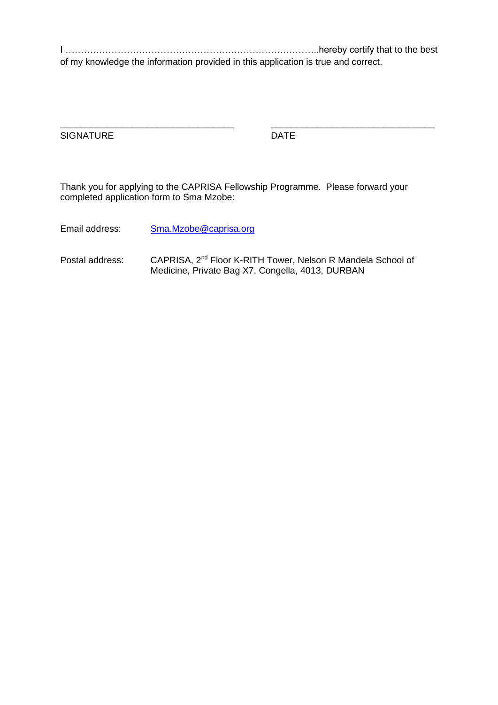I ………………………………………………………………………..hereby certify that to the best of my knowledge the information provided in this application is true and correct.

\_\_\_\_\_\_\_\_\_\_\_\_\_\_\_\_\_\_\_\_\_\_\_\_\_\_\_\_\_\_\_\_\_\_ \_\_\_\_\_\_\_\_\_\_\_\_\_\_\_\_\_\_\_\_\_\_\_\_\_\_\_\_\_\_\_\_

SIGNATURE DATE

Thank you for applying to the CAPRISA Fellowship Programme. Please forward your completed application form to Sma Mzobe:

Email address: [Sma.Mzobe@caprisa.org](mailto:Sma.Mzobe@caprisa.org)

Postal address: CAPRISA, 2<sup>nd</sup> Floor K-RITH Tower, Nelson R Mandela School of Medicine, Private Bag X7, Congella, 4013, DURBAN